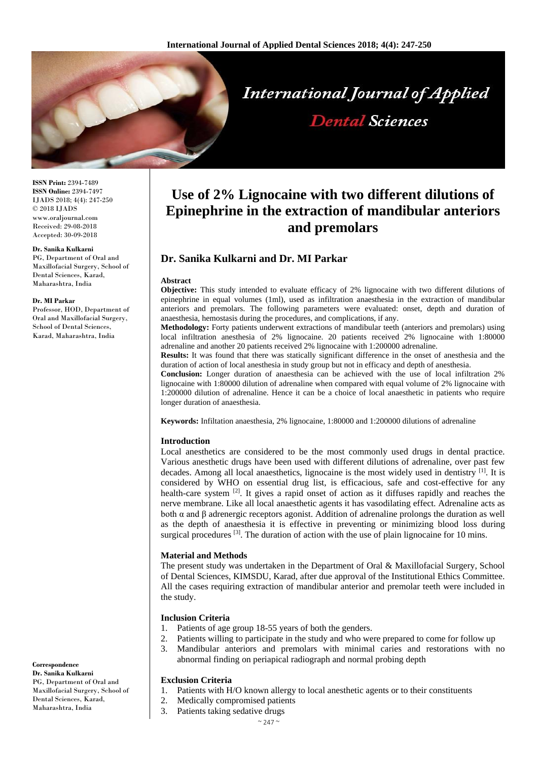

**ISSN Print:** 2394-7489 **ISSN Online:** 2394-7497 IJADS 2018; 4(4): 247-250 © 2018 IJADS www.oraljournal.com Received: 29-08-2018 Accepted: 30-09-2018

#### **Dr. Sanika Kulkarni**

PG, Department of Oral and Maxillofacial Surgery, School of Dental Sciences, Karad, Maharashtra, India

#### **Dr. MI Parkar**

Professor, HOD, Department of Oral and Maxillofacial Surgery, School of Dental Sciences, Karad, Maharashtra, India

# **Use of 2% Lignocaine with two different dilutions of Epinephrine in the extraction of mandibular anteriors and premolars**

# **Dr. Sanika Kulkarni and Dr. MI Parkar**

#### **Abstract**

**Objective:** This study intended to evaluate efficacy of 2% lignocaine with two different dilutions of epinephrine in equal volumes (1ml), used as infiltration anaesthesia in the extraction of mandibular anteriors and premolars. The following parameters were evaluated: onset, depth and duration of anaesthesia, hemostasis during the procedures, and complications, if any.

**Methodology:** Forty patients underwent extractions of mandibular teeth (anteriors and premolars) using local infiltration anesthesia of 2% lignocaine. 20 patients received 2% lignocaine with 1:80000 adrenaline and another 20 patients received 2% lignocaine with 1:200000 adrenaline.

**Results:** It was found that there was statically significant difference in the onset of anesthesia and the duration of action of local anesthesia in study group but not in efficacy and depth of anesthesia.

**Conclusion:** Longer duration of anaesthesia can be achieved with the use of local infiltration 2% lignocaine with 1:80000 dilution of adrenaline when compared with equal volume of 2% lignocaine with 1:200000 dilution of adrenaline. Hence it can be a choice of local anaesthetic in patients who require longer duration of anaesthesia.

**Keywords:** Infiltation anaesthesia, 2% lignocaine, 1:80000 and 1:200000 dilutions of adrenaline

#### **Introduction**

Local anesthetics are considered to be the most commonly used drugs in dental practice. Various anesthetic drugs have been used with different dilutions of adrenaline, over past few decades. Among all local anaesthetics, lignocaine is the most widely used in dentistry [1]. It is considered by WHO on essential drug list, is efficacious, safe and cost-effective for any health-care system  $[2]$ . It gives a rapid onset of action as it diffuses rapidly and reaches the nerve membrane. Like all local anaesthetic agents it has vasodilating effect. Adrenaline acts as both α and β adrenergic receptors agonist. Addition of adrenaline prolongs the duration as well as the depth of anaesthesia it is effective in preventing or minimizing blood loss during surgical procedures  $[3]$ . The duration of action with the use of plain lignocaine for 10 mins.

#### **Material and Methods**

The present study was undertaken in the Department of Oral & Maxillofacial Surgery, School of Dental Sciences, KIMSDU, Karad, after due approval of the Institutional Ethics Committee. All the cases requiring extraction of mandibular anterior and premolar teeth were included in the study.

#### **Inclusion Criteria**

- 1. Patients of age group 18-55 years of both the genders.
- 2. Patients willing to participate in the study and who were prepared to come for follow up
- 3. Mandibular anteriors and premolars with minimal caries and restorations with no abnormal finding on periapical radiograph and normal probing depth

## **Exclusion Criteria**

- 1. Patients with H/O known allergy to local anesthetic agents or to their constituents
- 2. Medically compromised patients
- 3. Patients taking sedative drugs

**Correspondence Dr. Sanika Kulkarni** PG, Department of Oral and Maxillofacial Surgery, School of Dental Sciences, Karad, Maharashtra, India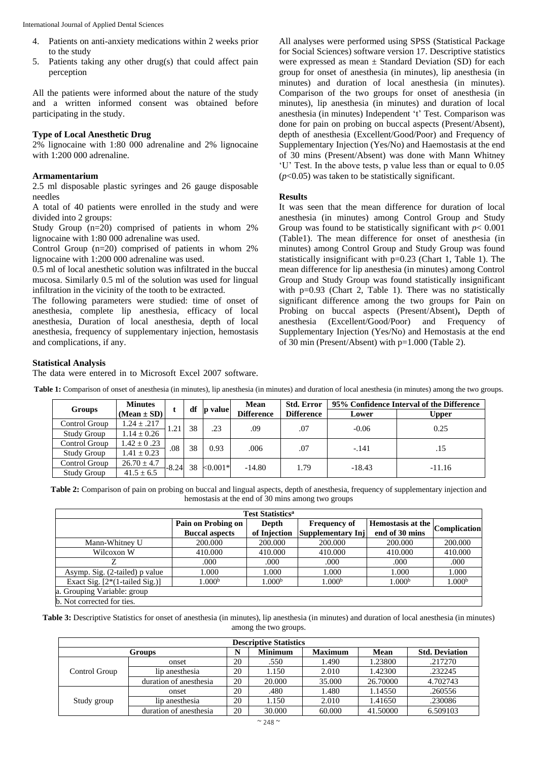- 4. Patients on anti-anxiety medications within 2 weeks prior to the study
- 5. Patients taking any other drug(s) that could affect pain perception

All the patients were informed about the nature of the study and a written informed consent was obtained before participating in the study.

# **Type of Local Anesthetic Drug**

2% lignocaine with 1:80 000 adrenaline and 2% lignocaine with 1:200 000 adrenaline.

# **Armamentarium**

2.5 ml disposable plastic syringes and 26 gauge disposable needles

A total of 40 patients were enrolled in the study and were divided into 2 groups:

Study Group (n=20) comprised of patients in whom 2% lignocaine with 1:80 000 adrenaline was used.

Control Group (n=20) comprised of patients in whom 2% lignocaine with 1:200 000 adrenaline was used.

0.5 ml of local anesthetic solution was infiltrated in the buccal mucosa. Similarly 0.5 ml of the solution was used for lingual infiltration in the vicinity of the tooth to be extracted.

The following parameters were studied: time of onset of anesthesia, complete lip anesthesia, efficacy of local anesthesia, Duration of local anesthesia, depth of local anesthesia, frequency of supplementary injection, hemostasis and complications, if any.

All analyses were performed using SPSS (Statistical Package for Social Sciences) software version 17. Descriptive statistics were expressed as mean  $\pm$  Standard Deviation (SD) for each group for onset of anesthesia (in minutes), lip anesthesia (in minutes) and duration of local anesthesia (in minutes). Comparison of the two groups for onset of anesthesia (in minutes), lip anesthesia (in minutes) and duration of local anesthesia (in minutes) Independent 't' Test. Comparison was done for pain on probing on buccal aspects (Present/Absent), depth of anesthesia (Excellent/Good/Poor) and Frequency of Supplementary Injection (Yes/No) and Haemostasis at the end of 30 mins (Present/Absent) was done with Mann Whitney 'U' Test. In the above tests, p value less than or equal to 0.05 (*p*<0.05) was taken to be statistically significant.

## **Results**

It was seen that the mean difference for duration of local anesthesia (in minutes) among Control Group and Study Group was found to be statistically significant with  $p < 0.001$ (Table1). The mean difference for onset of anesthesia (in minutes) among Control Group and Study Group was found statistically insignificant with p=0.23 (Chart 1, Table 1). The mean difference for lip anesthesia (in minutes) among Control Group and Study Group was found statistically insignificant with p=0.93 (Chart 2, Table 1). There was no statistically significant difference among the two groups for Pain on Probing on buccal aspects (Present/Absent)**,** Depth of anesthesia (Excellent/Good/Poor) and Frequency of Supplementary Injection (Yes/No) and Hemostasis at the end of 30 min (Present/Absent) with p=1.000 (Table 2).

### **Statistical Analysis**

The data were entered in to Microsoft Excel 2007 software.

**Table 1:** Comparison of onset of anesthesia (in minutes), lip anesthesia (in minutes) and duration of local anesthesia (in minutes) among the two groups.

|                    | <b>Minutes</b>  |         | df | p value   | Mean<br><b>Difference</b> | <b>Std. Error</b><br><b>Difference</b> | 95% Confidence Interval of the Difference |              |
|--------------------|-----------------|---------|----|-----------|---------------------------|----------------------------------------|-------------------------------------------|--------------|
| Groups             | $(Mean \pm SD)$ |         |    |           |                           |                                        | Lower                                     | <b>Upper</b> |
| Control Group      | $1.24 \pm .217$ | 1.21    | 38 | .23       | .09                       | .07                                    | $-0.06$                                   | 0.25         |
| <b>Study Group</b> | $1.14 \pm 0.26$ |         |    |           |                           |                                        |                                           |              |
| Control Group      | $.42 \pm 0.23$  | .08     | 38 | 0.93      | .006                      | .07                                    | $-141$                                    | .15          |
| Study Group        | $.41 + 0.23$    |         |    |           |                           |                                        |                                           |              |
| Control Group      | $26.70 \pm 4.7$ | $-8.24$ | 38 | $<0.001*$ | $-14.80$                  | .79                                    |                                           | $-11.16$     |
| Study Group        | $41.5 \pm 6.5$  |         |    |           |                           | $-18.43$                               |                                           |              |

**Table 2:** Comparison of pain on probing on buccal and lingual aspects, depth of anesthesia, frequency of supplementary injection and hemostasis at the end of 30 mins among two groups

| <b>Test Statistics</b> <sup>a</sup> |                       |                    |                     |                                        |                    |  |  |
|-------------------------------------|-----------------------|--------------------|---------------------|----------------------------------------|--------------------|--|--|
|                                     | Pain on Probing on    | Depth              | <b>Frequency of</b> | Hemostasis at the $\vert$ Complication |                    |  |  |
|                                     | <b>Buccal aspects</b> | of Injection       | Supplementary Inj   | end of 30 mins                         |                    |  |  |
| Mann-Whitney U                      | 200.000               | 200.000            | 200,000             | 200,000                                | 200,000            |  |  |
| Wilcoxon W                          | 410.000               | 410.000            | 410.000             | 410.000                                | 410.000            |  |  |
|                                     | .000                  | .000               | .000                | .000                                   | .000               |  |  |
| Asymp. Sig. (2-tailed) p value      | 1.000                 | 1.000              | 1.000               | 1.000                                  | 1.000              |  |  |
| Exact Sig. $[2*(1-tailed Sig.)]$    | 1.000 <sup>b</sup>    | 1.000 <sup>b</sup> | 1.000 <sup>b</sup>  | 1.000 <sup>b</sup>                     | 1.000 <sup>b</sup> |  |  |
| a. Grouping Variable: group         |                       |                    |                     |                                        |                    |  |  |
| b. Not corrected for ties.          |                       |                    |                     |                                        |                    |  |  |

**Table 3:** Descriptive Statistics for onset of anesthesia (in minutes), lip anesthesia (in minutes) and duration of local anesthesia (in minutes) among the two groups.

| <b>Descriptive Statistics</b> |                        |    |                |                |          |                       |  |  |
|-------------------------------|------------------------|----|----------------|----------------|----------|-----------------------|--|--|
| Groups                        |                        | N  | <b>Minimum</b> | <b>Maximum</b> | Mean     | <b>Std. Deviation</b> |  |  |
| Control Group                 | onset                  | 20 | .550           | 1.490          | 1.23800  | .217270               |  |  |
|                               | lip anesthesia         | 20 | 1.150          | 2.010          | 1.42300  | .232245               |  |  |
|                               | duration of anesthesia | 20 | 20.000         | 35,000         | 26.70000 | 4.702743              |  |  |
| Study group                   | onset                  | 20 | .480           | 1.480          | 1.14550  | .260556               |  |  |
|                               | lip anesthesia         | 20 | 1.150          | 2.010          | 1.41650  | .230086               |  |  |
|                               | duration of anesthesia | 20 | 30.000         | 60.000         | 41.50000 | 6.509103              |  |  |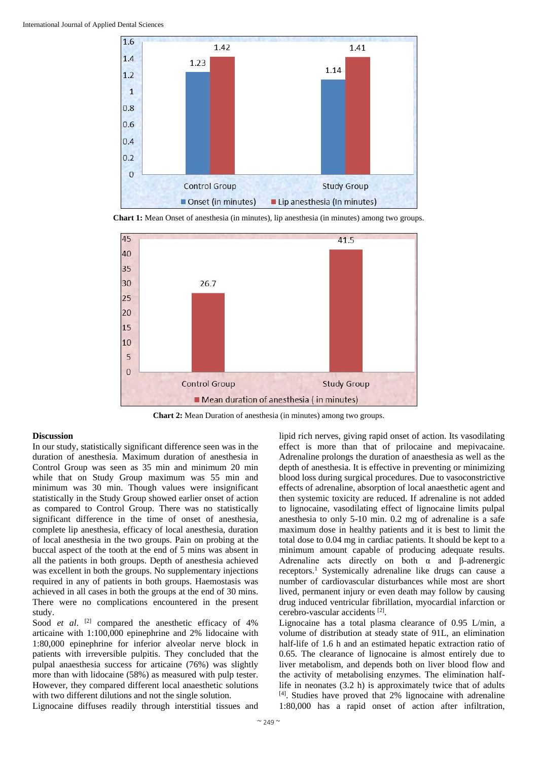

**Chart 1:** Mean Onset of anesthesia (in minutes), lip anesthesia (in minutes) among two groups.



**Chart 2:** Mean Duration of anesthesia (in minutes) among two groups.

#### **Discussion**

In our study, statistically significant difference seen was in the duration of anesthesia. Maximum duration of anesthesia in Control Group was seen as 35 min and minimum 20 min while that on Study Group maximum was 55 min and minimum was 30 min. Though values were insignificant statistically in the Study Group showed earlier onset of action as compared to Control Group. There was no statistically significant difference in the time of onset of anesthesia, complete lip anesthesia, efficacy of local anesthesia, duration of local anesthesia in the two groups. Pain on probing at the buccal aspect of the tooth at the end of 5 mins was absent in all the patients in both groups. Depth of anesthesia achieved was excellent in both the groups. No supplementary injections required in any of patients in both groups. Haemostasis was achieved in all cases in both the groups at the end of 30 mins. There were no complications encountered in the present study.

Sood *et al.* <sup>[2]</sup> compared the anesthetic efficacy of 4% articaine with 1:100,000 epinephrine and 2% lidocaine with 1:80,000 epinephrine for inferior alveolar nerve block in patients with irreversible pulpitis. They concluded that the pulpal anaesthesia success for articaine (76%) was slightly more than with lidocaine (58%) as measured with pulp tester. However, they compared different local anaesthetic solutions with two different dilutions and not the single solution.

Lignocaine diffuses readily through interstitial tissues and

lipid rich nerves, giving rapid onset of action. Its vasodilating effect is more than that of prilocaine and mepivacaine. Adrenaline prolongs the duration of anaesthesia as well as the depth of anesthesia. It is effective in preventing or minimizing blood loss during surgical procedures. Due to vasoconstrictive effects of adrenaline, absorption of local anaesthetic agent and then systemic toxicity are reduced. If adrenaline is not added to lignocaine, vasodilating effect of lignocaine limits pulpal anesthesia to only 5-10 min. 0.2 mg of adrenaline is a safe maximum dose in healthy patients and it is best to limit the total dose to 0.04 mg in cardiac patients. It should be kept to a minimum amount capable of producing adequate results. Adrenaline acts directly on both  $\alpha$  and  $\beta$ -adrenergic receptors.<sup>1</sup> Systemically adrenaline like drugs can cause a number of cardiovascular disturbances while most are short lived, permanent injury or even death may follow by causing drug induced ventricular fibrillation, myocardial infarction or cerebro-vascular accidents [2] .

Lignocaine has a total plasma clearance of 0.95 L/min, a volume of distribution at steady state of 91L, an elimination half-life of 1.6 h and an estimated hepatic extraction ratio of 0.65. The clearance of lignocaine is almost entirely due to liver metabolism, and depends both on liver blood flow and the activity of metabolising enzymes. The elimination halflife in neonates (3.2 h) is approximately twice that of adults [4] . Studies have proved that 2% lignocaine with adrenaline 1:80,000 has a rapid onset of action after infiltration,